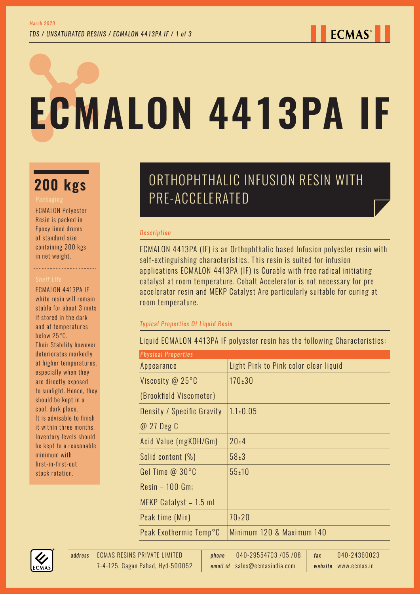# **ECMALON 4413PA IF**

ECMALON Polyester Resin is packed in Epoxy lined drums of standard size containing 200 kgs in net weight.

ECMALON 4413PA IF white resin will remain stable for about 3 mnts if stored in the dark and at temperatures below 25°C. Their Stability however deteriorates markedly at higher temperatures, especially when they are directly exposed to sunlight. Hence, they should be kept in a cool, dark place. It is advisable to finish it within three months. Inventory levels should be kept to a reasonable minimum with first-in-first-out stock rotation.

# ORTHOPHTHALIC INFUSION RESIN WITH **200 kgs DRIHUPHIHALIU II**<br>PRE-ACCELERATED

# *Description*

ECMALON 4413PA (IF) is an Orthophthalic based Infusion polyester resin with self-extinguishing characteristics. This resin is suited for infusion applications ECMALON 4413PA (IF) is Curable with free radical initiating catalyst at room temperature. Cobalt Accelerator is not necessary for pre accelerator resin and MEKP Catalyst Are particularly suitable for curing at room temperature.

# *Typical Properties Of Liquid Resin*

Liquid ECMALON 4413PA IF polyester resin has the following Characteristics:

| <b>Physical Properties</b> |                                       |
|----------------------------|---------------------------------------|
| Appearance                 | Light Pink to Pink color clear liquid |
| Viscosity @ 25°C           | $170 \pm 30$                          |
| (Brookfield Viscometer)    |                                       |
| Density / Specific Gravity | $1.1 \pm 0.05$                        |
| @ 27 Deg C                 |                                       |
| Acid Value (mgKOH/Gm)      | 20:4                                  |
| Solid content (%)          | 58:3                                  |
| Gel Time @ 30°C            | $55 \pm 10$                           |
| Resin - 100 Gm;            |                                       |
| MEKP Catalyst - 1.5 ml     |                                       |
| Peak time (Min)            | $70 \pm 20$                           |
| Peak Exothermic Temp°C     | Minimum 120 & Maximum 140             |

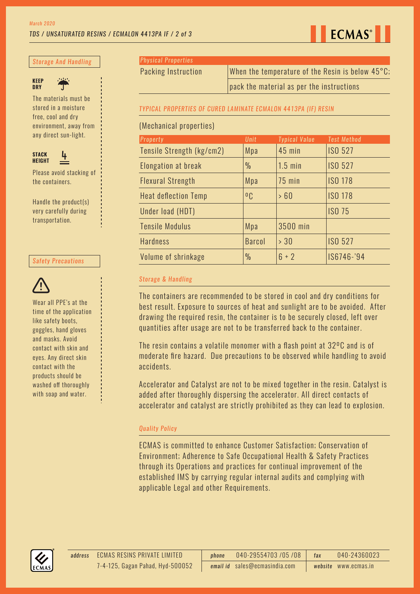## *TDS / UNSATURATED RESINS / ECMALON 4413PA IF / 2 of 3*

**ECMAS**<sup>®</sup>

### *Storage And Handling*



The materials must be stored in a moisture free, cool and dry environment, away from any direct sun-light.



Please avoid stacking of the containers.

Handle the product(s) very carefully during transportation.

### *Safety Precautions*



Wear all PPE's at the time of the application like safety boots, goggles, hand gloves and masks. Avoid contact with skin and eyes. Any direct skin contact with the products should be washed off thoroughly with soap and water.

*Physical Properties*

Packing Instruction When the temperature of the Resin is below 45°C;

pack the material as per the instructions

### *TYPICAL PROPERTIES OF CURED LAMINATE ECMALON 4413PA (IF) RESIN*

### (Mechanical properties)

| Property                    | <b>Unit</b>    | <b>Typical Value</b> | <b>Test Method</b> |  |  |
|-----------------------------|----------------|----------------------|--------------------|--|--|
| Tensile Strength (kg/cm2)   | Mpa            | <b>45 min</b>        | <b>ISO 527</b>     |  |  |
| Elongation at break         | $\frac{0}{0}$  | $1.5$ min            | <b>ISO 527</b>     |  |  |
| <b>Flexural Strength</b>    | Mpa            | <b>75 min</b>        | <b>ISO 178</b>     |  |  |
| <b>Heat deflection Temp</b> | 0 <sub>C</sub> | >60                  | <b>ISO 178</b>     |  |  |
| Under load (HDT)            |                |                      | <b>ISO 75</b>      |  |  |
| <b>Tensile Modulus</b>      | Mpa            | 3500 min             |                    |  |  |
| <b>Hardness</b>             | <b>Barcol</b>  | > 30                 | <b>ISO 527</b>     |  |  |
| Volume of shrinkage         | $\frac{0}{0}$  | $6 + 2$              | IS6746-'94         |  |  |

### *Storage & Handling*

The containers are recommended to be stored in cool and dry conditions for best result. Exposure to sources of heat and sunlight are to be avoided. After drawing the required resin, the container is to be securely closed, left over quantities after usage are not to be transferred back to the container.

The resin contains a volatile monomer with a flash point at 32ºC and is of moderate fire hazard. Due precautions to be observed while handling to avoid accidents.

Accelerator and Catalyst are not to be mixed together in the resin. Catalyst is added after thoroughly dispersing the accelerator. All direct contacts of accelerator and catalyst are strictly prohibited as they can lead to explosion.

### *Quality Policy*

ECMAS is committed to enhance Customer Satisfaction; Conservation of Environment; Adherence to Safe Occupational Health & Safety Practices through its Operations and practices for continual improvement of the established IMS by carrying regular internal audits and complying with applicable Legal and other Requirements.



ECMAS RESINS PRIVATE LIMITED *address phone* 040-29554703 /05 /08 *fax* 040-24360023 *email id* sales@ecmasindia.com *website* www.ecmas.in